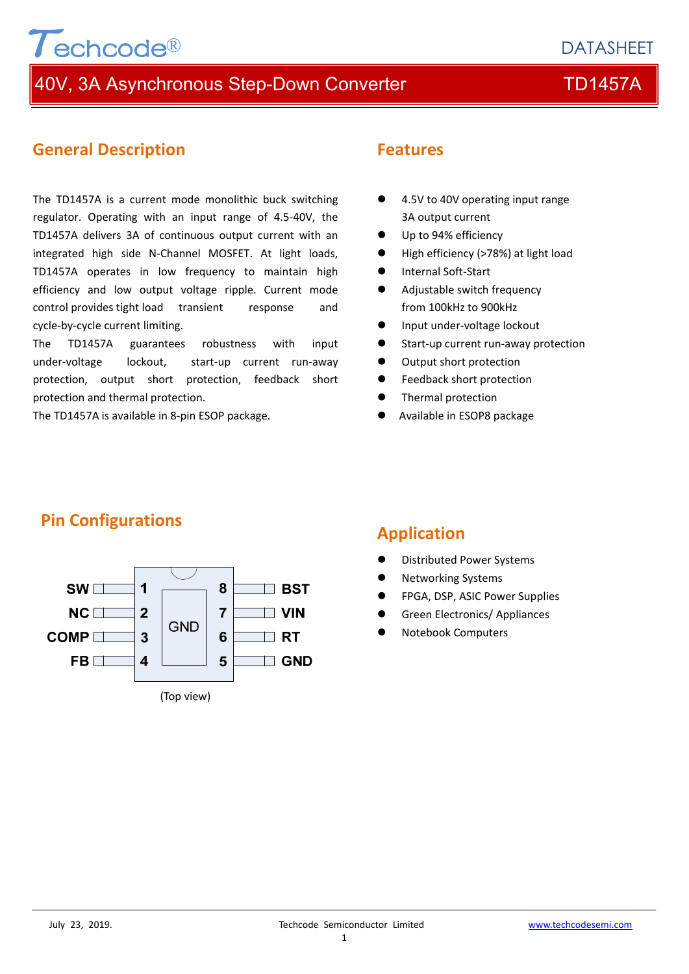## **DATASHEET**

## 40V, 3A Asynchronous Step-Down Converter TEM TD1457A

## **General Description**

Techcode®

The TD1457A is a current mode monolithic buck switching regulator. Operating with an input range of 4.5‐40V, the TD1457A delivers 3A of continuous output current with an integrated high side N‐Channel MOSFET. At light loads, TD1457A operates in low frequency to maintain high efficiency and low output voltage ripple. Current mode control provides tight load transient response and cycle‐by‐cycle current limiting.

The TD1457A guarantees robustness with input under‐voltage lockout, start‐up current run‐away protection, output short protection, feedback short protection and thermal protection.

The TD1457A is available in 8‐pin ESOP package.

## **Features**

- 4.5V to 40V operating input range 3A output current
- Up to 94% efficiency
- High efficiency (>78%) at light load
- Internal Soft-Start
- Adjustable switch frequency from 100kHz to 900kHz
- Input under-voltage lockout
- Start-up current run-away protection
- $\bullet$  Output short protection
- **•** Feedback short protection
- Thermal protection
- Available in ESOP8 package



## **Pin Configurations**

## **Application**

- Distributed Power Systems
- Networking Systems
- FPGA, DSP, ASIC Power Supplies
- Green Electronics/ Appliances
- Notebook Computers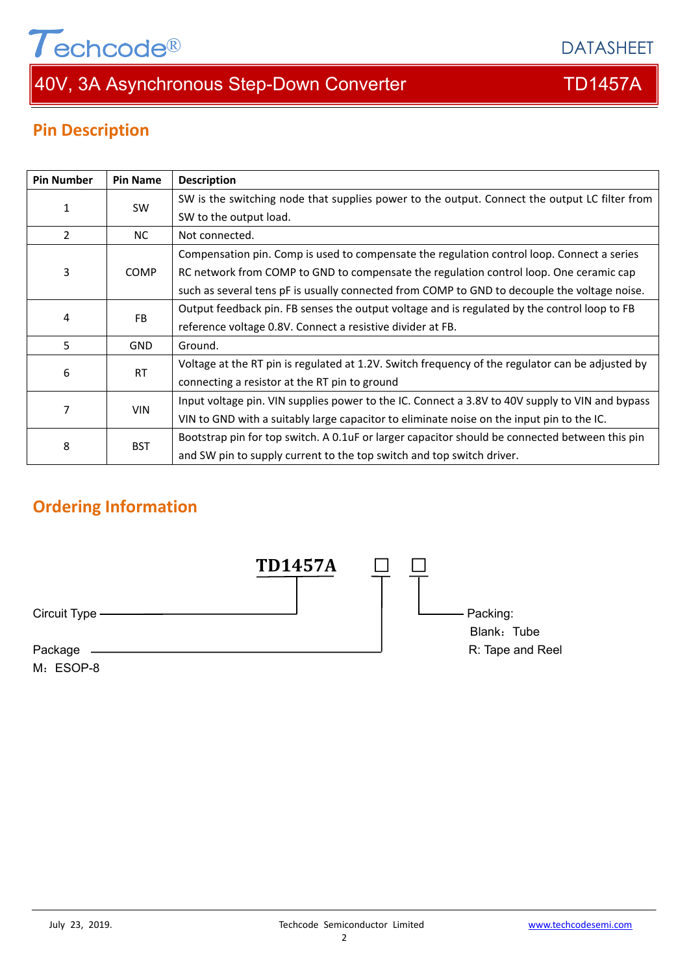# $\tau$ echcode®

## 40V, 3A Asynchronous Step-Down Converter TD1457A

DATASHEET

## **Pin Description**

| <b>Pin Number</b> | <b>Pin Name</b> | <b>Description</b>                                                                               |
|-------------------|-----------------|--------------------------------------------------------------------------------------------------|
| $\mathbf{1}$      | <b>SW</b>       | SW is the switching node that supplies power to the output. Connect the output LC filter from    |
|                   |                 | SW to the output load.                                                                           |
| $\overline{2}$    | NC.             | Not connected.                                                                                   |
| 3                 | <b>COMP</b>     | Compensation pin. Comp is used to compensate the regulation control loop. Connect a series       |
|                   |                 | RC network from COMP to GND to compensate the regulation control loop. One ceramic cap           |
|                   |                 | such as several tens pF is usually connected from COMP to GND to decouple the voltage noise.     |
| 4                 | <b>FB</b>       | Output feedback pin. FB senses the output voltage and is regulated by the control loop to FB     |
|                   |                 | reference voltage 0.8V. Connect a resistive divider at FB.                                       |
| 5                 | <b>GND</b>      | Ground.                                                                                          |
| 6                 | <b>RT</b>       | Voltage at the RT pin is regulated at 1.2V. Switch frequency of the regulator can be adjusted by |
|                   |                 | connecting a resistor at the RT pin to ground                                                    |
| 7                 | <b>VIN</b>      | Input voltage pin. VIN supplies power to the IC. Connect a 3.8V to 40V supply to VIN and bypass  |
|                   |                 | VIN to GND with a suitably large capacitor to eliminate noise on the input pin to the IC.        |
| 8                 | <b>BST</b>      | Bootstrap pin for top switch. A 0.1uF or larger capacitor should be connected between this pin   |
|                   |                 | and SW pin to supply current to the top switch and top switch driver.                            |

## **Ordering Information**

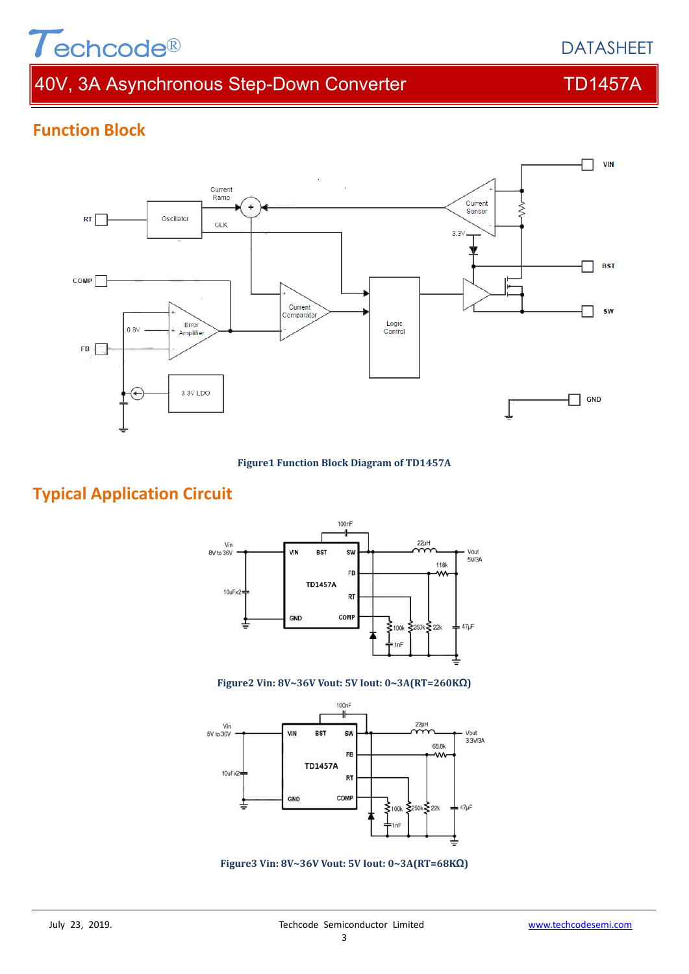# $\tau$ echcode®

## 40V, 3A Asynchronous Step-Down Converter TD1457A





#### **Figure1 Function Block Diagram of TD1457A**

## **Typical Application Circuit**



#### **Figure2 Vin: 8V~36V Vout: 5V Iout: 0~3A(RT=260KΩ)**



**Figure3 Vin: 8V~36V Vout: 5V Iout: 0~3A(RT=68KΩ)**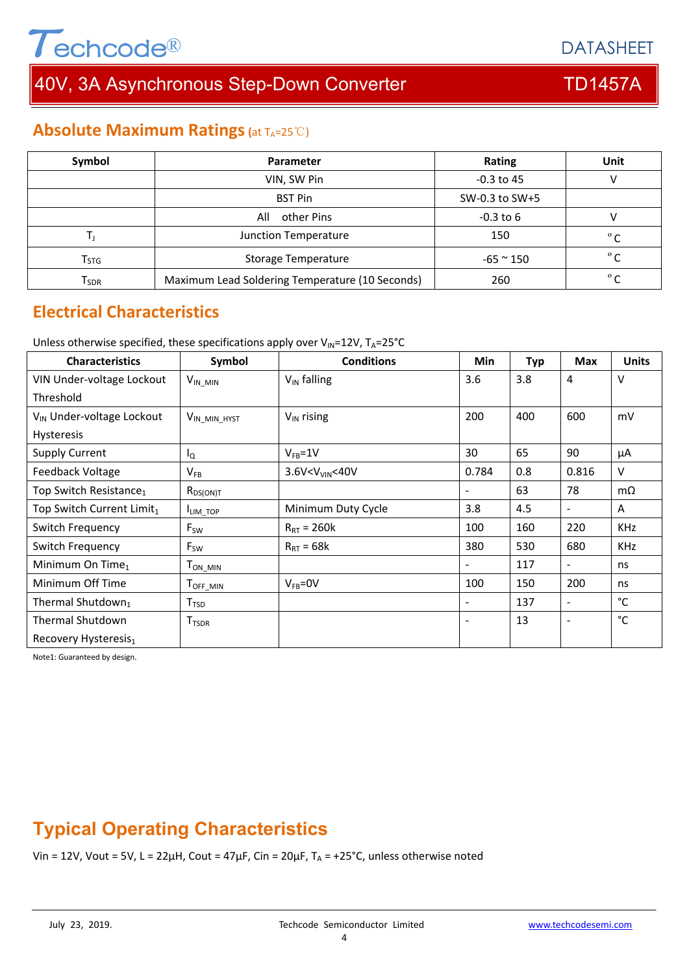# $T$ echcode $^{\circledR}$

# 40V, 3A Asynchronous Step-Down Converter TD1457A

**DATASHEET** 

## **Absolute Maximum Ratings (at TA=25℃)**

| Symbol                      | Parameter                                       | Rating              | Unit       |
|-----------------------------|-------------------------------------------------|---------------------|------------|
|                             | VIN, SW Pin                                     | $-0.3$ to 45        |            |
|                             | <b>BST Pin</b><br>SW-0.3 to SW+5                |                     |            |
|                             | $-0.3$ to $6$<br>All<br>other Pins              |                     |            |
|                             | Junction Temperature                            | 150                 | $^{\circ}$ |
| $\mathsf{T}_{\mathsf{STG}}$ | <b>Storage Temperature</b>                      | $-65$ $^{\sim}$ 150 | $^{\circ}$ |
| Tsdr                        | Maximum Lead Soldering Temperature (10 Seconds) | 260                 | $^{\circ}$ |

## **Electrical Characteristics**

Unless otherwise specified, these specifications apply over  $V_{\text{IN}}=12V$ ,  $T_A=25^{\circ}C$ 

| <b>Characteristics</b>                | Symbol                   | <b>Conditions</b>              | <b>Min</b>               | <b>Typ</b> | <b>Max</b>               | <b>Units</b> |
|---------------------------------------|--------------------------|--------------------------------|--------------------------|------------|--------------------------|--------------|
| VIN Under-voltage Lockout             | $V_{IN\_MIN}$            | $V_{IN}$ falling               | 3.6                      | 3.8        | 4                        | $\vee$       |
| Threshold                             |                          |                                |                          |            |                          |              |
| V <sub>IN</sub> Under-voltage Lockout | V <sub>IN_MIN_HYST</sub> | $V_{IN}$ rising                | 200                      | 400        | 600                      | mV           |
| Hysteresis                            |                          |                                |                          |            |                          |              |
| <b>Supply Current</b>                 | ΙQ                       | $V_{FB} = 1V$                  | 30                       | 65         | 90                       | μA           |
| Feedback Voltage                      | $V_{FB}$                 | 3.6V <v<sub>VIN&lt;40V</v<sub> | 0.784                    | 0.8        | 0.816                    | $\vee$       |
| Top Switch Resistance <sub>1</sub>    | $R_{DS(ON)T}$            |                                | $\blacksquare$           | 63         | 78                       | $m\Omega$    |
| Top Switch Current Limit <sub>1</sub> | I <sub>LIM_TOP</sub>     | Minimum Duty Cycle             | 3.8                      | 4.5        | $\sim$                   | A            |
| Switch Frequency                      | $F_{SW}$                 | $R_{RT} = 260k$                | 100                      | 160        | 220                      | <b>KHz</b>   |
| Switch Frequency                      | $F_{SW}$                 | $R_{RT} = 68k$                 | 380                      | 530        | 680                      | <b>KHz</b>   |
| Minimum On Time <sub>1</sub>          | $T_{ON\_MIN}$            |                                | $\overline{\phantom{a}}$ | 117        | $\overline{\phantom{a}}$ | ns           |
| Minimum Off Time                      | $T_{\mathsf{OFF\_MIN}}$  | $V_{FB} = 0V$                  | 100                      | 150        | 200                      | ns           |
| Thermal Shutdown <sub>1</sub>         | T <sub>TSD</sub>         |                                | $\overline{\phantom{a}}$ | 137        | $\overline{\phantom{a}}$ | °C           |
| <b>Thermal Shutdown</b>               | <b>T</b> <sub>TSDR</sub> |                                | $\overline{\phantom{a}}$ | 13         | $\overline{\phantom{a}}$ | °С           |
| Recovery Hysteresis <sub>1</sub>      |                          |                                |                          |            |                          |              |

Note1: Guaranteed by design.

## **Typical Operating Characteristics**

Vin = 12V, Vout = 5V, L = 22 $\mu$ H, Cout = 47 $\mu$ F, Cin = 20 $\mu$ F, T<sub>A</sub> = +25°C, unless otherwise noted

#### 4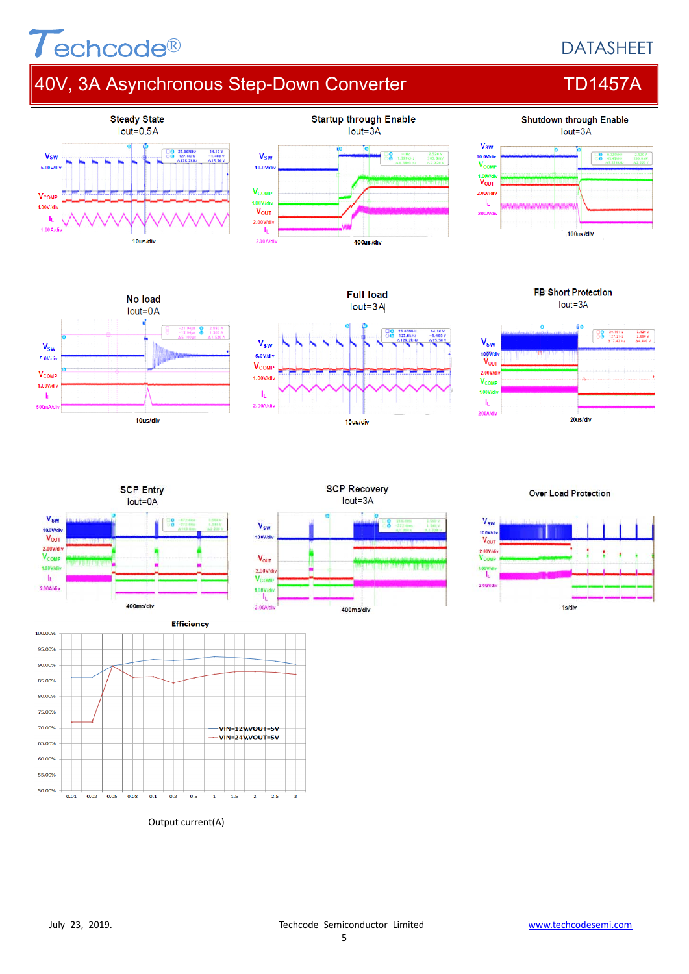# $\tau$ echcode®

## **DATASHEET**

# 40V, 3A Asynchronous Step-Down Converter TD1457A











**Full load** 

**FB Short Protection** lout=3A







### **Over Load Protection**





Output current(A)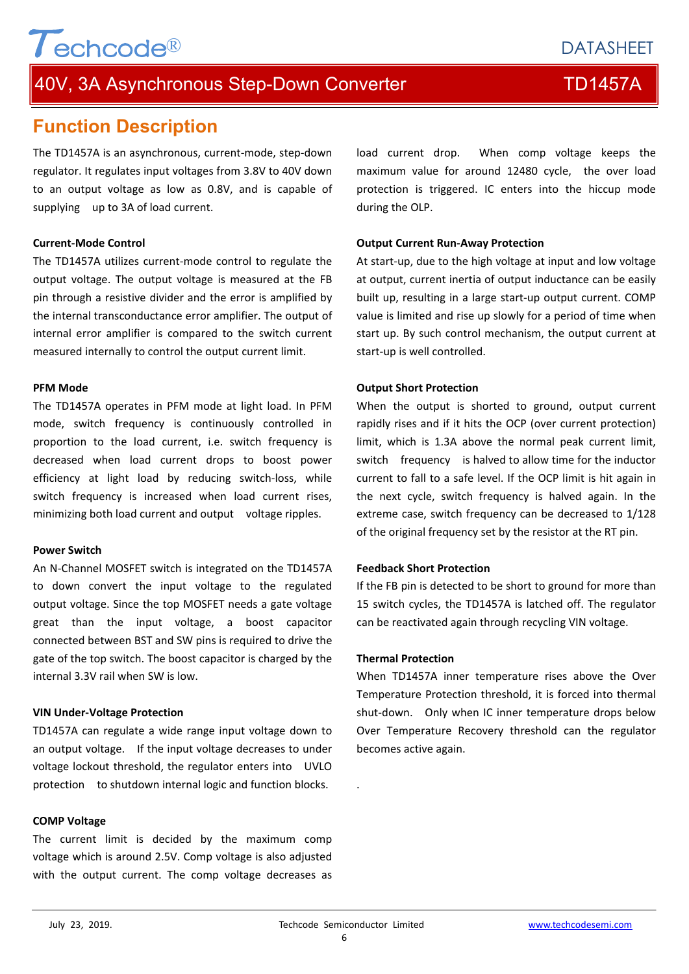## **DATASHEET**

## 40V, 3A Asynchronous Step-Down Converter TD1457A

## **Function Description**

Techcode®

The TD1457A is an asynchronous, current‐mode, step‐down regulator. It regulates input voltages from 3.8V to 40V down to an output voltage as low as 0.8V, and is capable of supplying up to 3A of load current.

#### **Current‐Mode Control**

The TD1457A utilizes current‐mode control to regulate the output voltage. The output voltage is measured at the FB pin through a resistive divider and the error is amplified by the internal transconductance error amplifier. The output of internal error amplifier is compared to the switch current measured internally to control the output current limit.

#### **PFM Mode**

The TD1457A operates in PFM mode at light load. In PFM mode, switch frequency is continuously controlled in proportion to the load current, i.e. switch frequency is decreased when load current drops to boost power efficiency at light load by reducing switch‐loss, while switch frequency is increased when load current rises, minimizing both load current and output voltage ripples.

#### **Power Switch**

An N‐Channel MOSFET switch is integrated on the TD1457A to down convert the input voltage to the regulated output voltage. Since the top MOSFET needs a gate voltage great than the input voltage, a boost capacitor connected between BST and SW pins is required to drive the gate of the top switch. The boost capacitor is charged by the internal 3.3V rail when SW is low.

#### **VIN Under‐Voltage Protection**

TD1457A can regulate a wide range input voltage down to an output voltage. If the input voltage decreases to under voltage lockout threshold, the regulator enters into UVLO protection to shutdown internal logic and function blocks.

#### **COMP Voltage**

The current limit is decided by the maximum comp voltage which is around 2.5V. Comp voltage is also adjusted with the output current. The comp voltage decreases as load current drop. When comp voltage keeps the maximum value for around 12480 cycle, the over load protection is triggered. IC enters into the hiccup mode during the OLP.

#### **Output Current Run‐Away Protection**

At start‐up, due to the high voltage at input and low voltage at output, current inertia of output inductance can be easily built up, resulting in a large start‐up output current. COMP value is limited and rise up slowly for a period of time when start up. By such control mechanism, the output current at start‐up is well controlled.

#### **Output Short Protection**

When the output is shorted to ground, output current rapidly rises and if it hits the OCP (over current protection) limit, which is 1.3A above the normal peak current limit, switch frequency is halved to allow time for the inductor current to fall to a safe level. If the OCP limit is hit again in the next cycle, switch frequency is halved again. In the extreme case, switch frequency can be decreased to 1/128 of the original frequency set by the resistor at the RT pin.

### **Feedback Short Protection**

If the FB pin is detected to be short to ground for more than 15 switch cycles, the TD1457A is latched off. The regulator can be reactivated again through recycling VIN voltage.

#### **Thermal Protection**

When TD1457A inner temperature rises above the Over Temperature Protection threshold, it is forced into thermal shut-down. Only when IC inner temperature drops below Over Temperature Recovery threshold can the regulator becomes active again.

.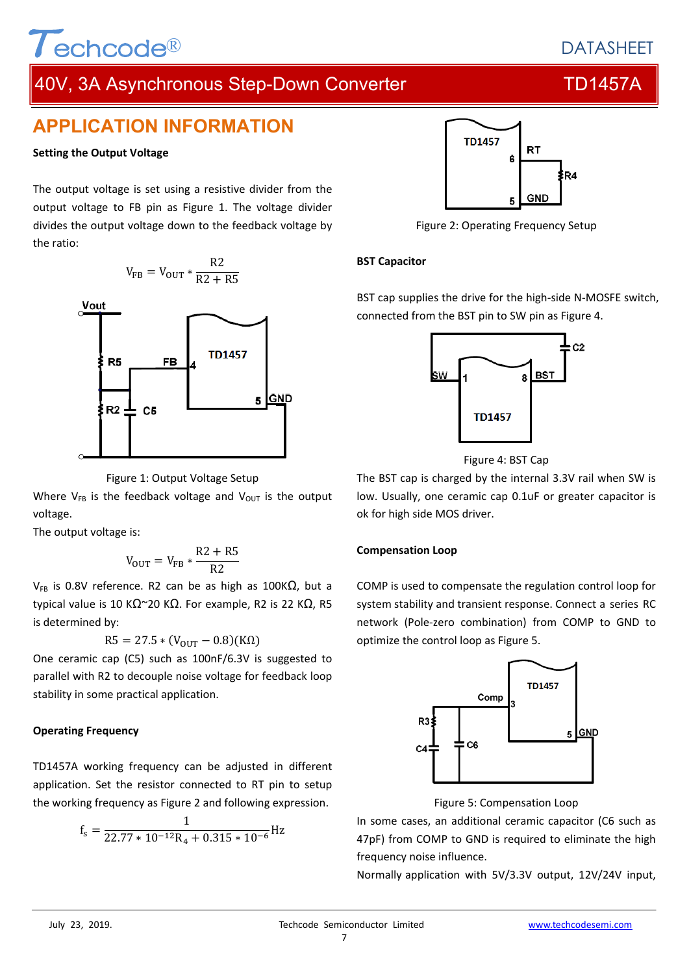# Techcode®

## **DATASHEET**

## 40V, 3A Asynchronous Step-Down Converter TEM TD1457A

## **APPLICATION INFORMATION**

## **Setting the Output Voltage**

The output voltage is set using a resistive divider from the output voltage to FB pin as Figure 1. The voltage divider divides the output voltage down to the feedback voltage by the ratio:

$$
V_{FB}=V_{OUT}*\frac{R2}{R2+R5}
$$



#### Figure 1: Output Voltage Setup

Where  $V_{FB}$  is the feedback voltage and  $V_{OUT}$  is the output voltage.

The output voltage is:

$$
V_{\rm OUT}=V_{\rm FB}*\frac{\rm R2+R5}{\rm R2}
$$

V<sub>FB</sub> is 0.8V reference. R2 can be as high as 100KΩ, but a typical value is 10 K $\Omega$ ~20 K $\Omega$ . For example, R2 is 22 K $\Omega$ , R5 is determined by:

$$
R5 = 27.5 * (V_{OUT} - 0.8)(K\Omega)
$$

One ceramic cap (C5) such as 100nF/6.3V is suggested to parallel with R2 to decouple noise voltage for feedback loop stability in some practical application.

## **Operating Frequency**

TD1457A working frequency can be adjusted in different application. Set the resistor connected to RT pin to setup the working frequency as Figure 2 and following expression.

$$
f_s = \frac{1}{22.77 * 10^{-12}R_4 + 0.315 * 10^{-6}} Hz
$$



Figure 2: Operating Frequency Setup

## **BST Capacitor**

BST cap supplies the drive for the high‐side N‐MOSFE switch, connected from the BST pin to SW pin as Figure 4.



Figure 4: BST Cap

The BST cap is charged by the internal 3.3V rail when SW is low. Usually, one ceramic cap 0.1uF or greater capacitor is ok for high side MOS driver.

## **Compensation Loop**

COMP is used to compensate the regulation control loop for system stability and transient response. Connect a series RC network (Pole‐zero combination) from COMP to GND to optimize the control loop as Figure 5.



Figure 5: Compensation Loop

In some cases, an additional ceramic capacitor (C6 such as 47pF) from COMP to GND is required to eliminate the high frequency noise influence.

Normally application with 5V/3.3V output, 12V/24V input,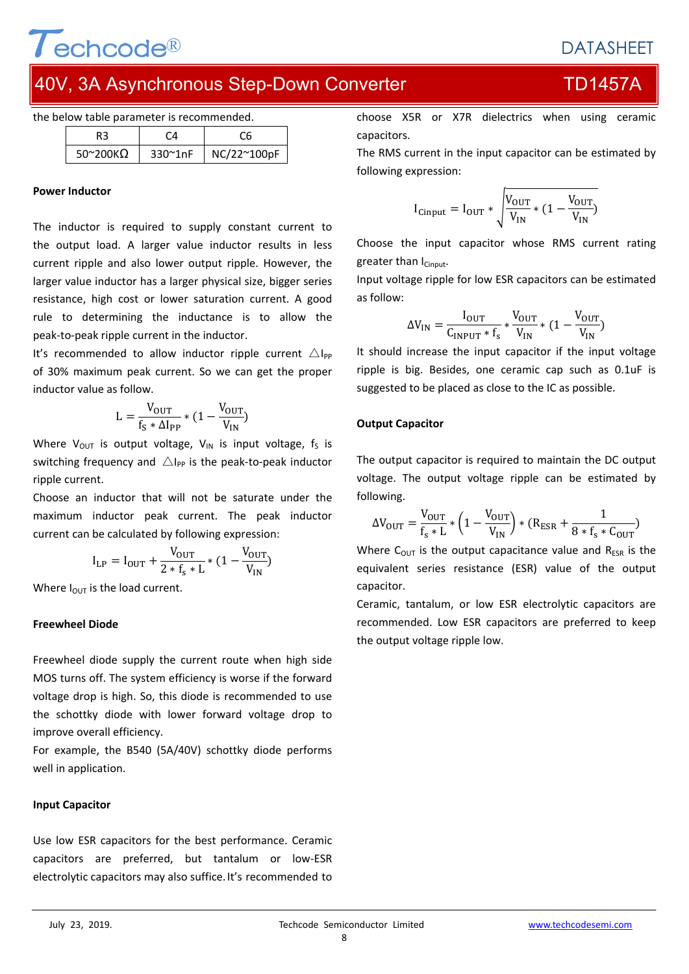## **DATASHEET**

# 10V, 3A Asynchronous Step-Down Converter TD1457A

|  |  |  |  | the below table parameter is recommended. |  |
|--|--|--|--|-------------------------------------------|--|
|--|--|--|--|-------------------------------------------|--|

 $\overline{\mathbf{I}}$  echcode®

| $50^{\circ}200K$ | 330~1nF | NC/22~100pF |
|------------------|---------|-------------|

#### **Power Inductor**

The inductor is required to supply constant current to the output load. A larger value inductor results in less current ripple and also lower output ripple. However, the larger value inductor has a larger physical size, bigger series resistance, high cost or lower saturation current. A good rule to determining the inductance is to allow the peak‐to‐peak ripple current in the inductor.

It's recommended to allow inductor ripple current  $\triangle I_{PP}$ of 30% maximum peak current. So we can get the proper inductor value as follow.

$$
L = \frac{V_{OUT}}{f_S * \Delta I_{PP}} * (1 - \frac{V_{OUT}}{V_{IN}})
$$

Where  $V_{OUT}$  is output voltage,  $V_{IN}$  is input voltage,  $f_S$  is switching frequency and  $\triangle I_{PP}$  is the peak-to-peak inductor ripple current.

Choose an inductor that will not be saturate under the maximum inductor peak current. The peak inductor current can be calculated by following expression:

$$
I_{LP} = I_{OUT} + \frac{V_{OUT}}{2 * f_s * L} * (1 - \frac{V_{OUT}}{V_{IN}})
$$

Where  $I_{OUT}$  is the load current.

### **Freewheel Diode**

Freewheel diode supply the current route when high side MOS turns off. The system efficiency is worse if the forward voltage drop is high. So, this diode is recommended to use the schottky diode with lower forward voltage drop to improve overall efficiency.

For example, the B540 (5A/40V) schottky diode performs well in application.

### **Input Capacitor**

Use low ESR capacitors for the best performance. Ceramic capacitors are preferred, but tantalum or low‐ESR electrolytic capacitors may also suffice.It's recommended to choose X5R or X7R dielectrics when using ceramic capacitors.

The RMS current in the input capacitor can be estimated by following expression:

$$
I_{\text{Cinput}} = I_{\text{OUT}} * \sqrt{\frac{V_{\text{OUT}}}{V_{\text{IN}}} * (1 - \frac{V_{\text{OUT}}}{V_{\text{IN}}})}
$$

Choose the input capacitor whose RMS current rating greater than  $I_{Cinout}$ .

Input voltage ripple for low ESR capacitors can be estimated as follow:

$$
\Delta V_{\text{IN}} = \frac{I_{\text{OUT}}}{C_{\text{INPUT}} * f_{\text{s}}} * \frac{V_{\text{OUT}}}{V_{\text{IN}}} * (1 - \frac{V_{\text{OUT}}}{V_{\text{IN}}})
$$

It should increase the input capacitor if the input voltage ripple is big. Besides, one ceramic cap such as 0.1uF is suggested to be placed as close to the IC as possible.

### **Output Capacitor**

The output capacitor is required to maintain the DC output voltage. The output voltage ripple can be estimated by following.

$$
\Delta V_{\text{OUT}} = \frac{V_{\text{OUT}}}{f_{\text{s}} * L} * \left(1 - \frac{V_{\text{OUT}}}{V_{\text{IN}}}\right) * (R_{\text{ESR}} + \frac{1}{8 * f_{\text{s}} * C_{\text{OUT}}})
$$

Where  $C_{\text{OUT}}$  is the output capacitance value and  $R_{ESR}$  is the equivalent series resistance (ESR) value of the output capacitor.

Ceramic, tantalum, or low ESR electrolytic capacitors are recommended. Low ESR capacitors are preferred to keep the output voltage ripple low.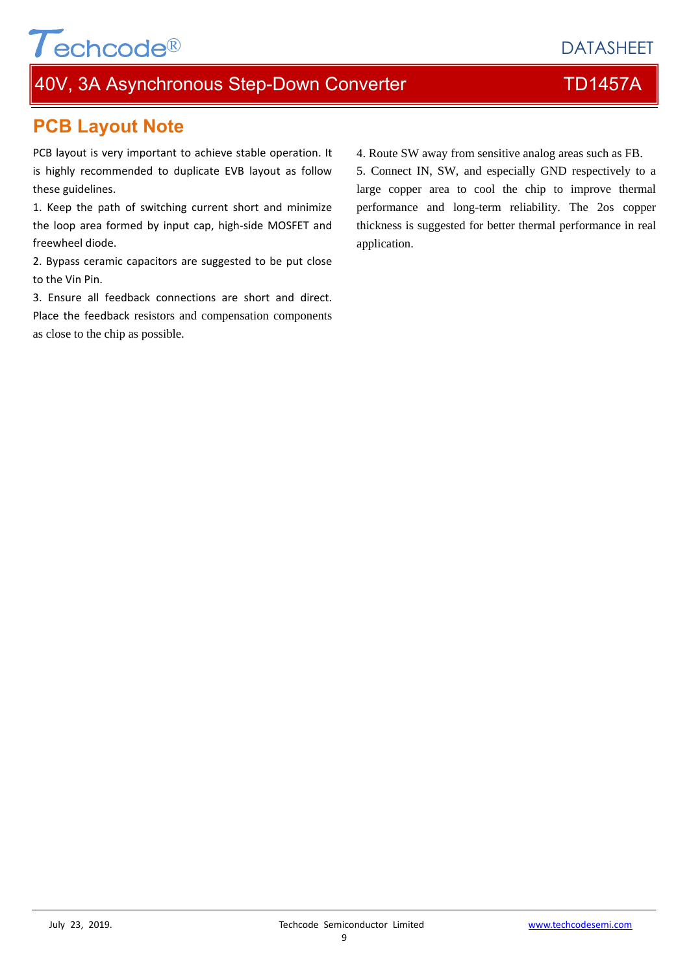# 40V, 3A Asynchronous Step-Down Converter TD1457A

# **PCB Layout Note**

 $\tau$ echcode®

PCB layout is very important to achieve stable operation. It is highly recommended to duplicate EVB layout as follow these guidelines.

1. Keep the path of switching current short and minimize the loop area formed by input cap, high‐side MOSFET and freewheel diode.

2. Bypass ceramic capacitors are suggested to be put close to the Vin Pin.

3. Ensure all feedback connections are short and direct. Place the feedback resistors and compensation components as close to the chip as possible.

4. Route SW away from sensitive analog areas such as FB. 5. Connect IN, SW, and especially GND respectively to a large copper area to cool the chip to improve thermal performance and long-term reliability. The 2os copper thickness is suggested for better thermal performance in real application.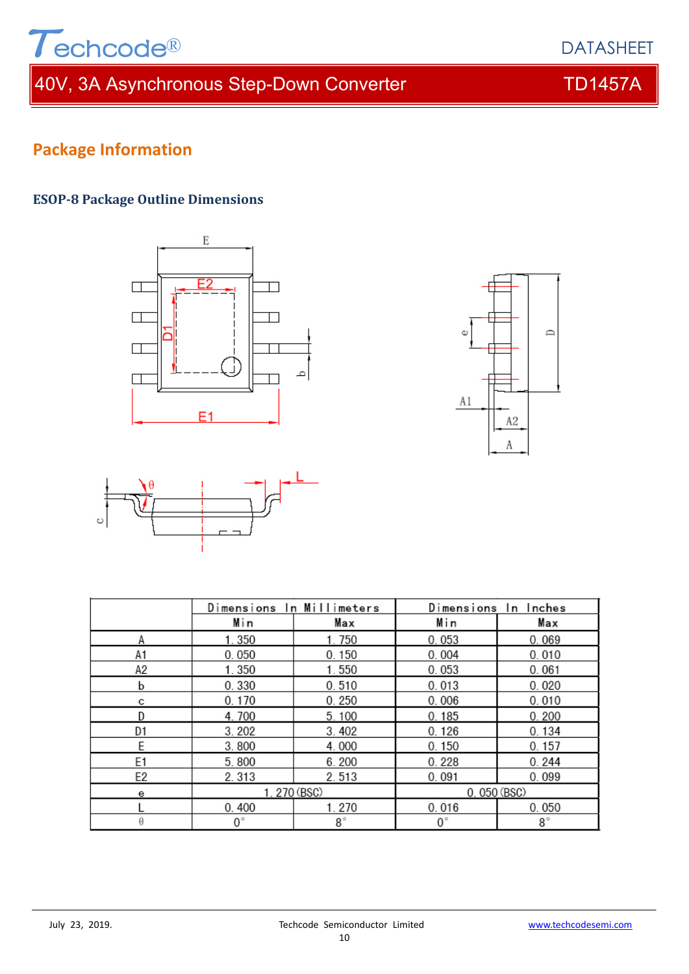

# 40V, 3A Asynchronous Step-Down Converter TD1457A

# **Package Information**

## **ESOP‐8 Package Outline Dimensions**







|                | Dimensions In Millimeters |           | Dimensions In Inches |           |  |
|----------------|---------------------------|-----------|----------------------|-----------|--|
|                | Min                       | Max       | Min                  | Max       |  |
| Α              | 1.350                     | 1.750     | 0.053                | 0.069     |  |
| A1             | 0.050                     | 0.150     | 0.004                | 0.010     |  |
| А2             | 1.350                     | 1.550     | 0.053                | 0.061     |  |
| b              | 0.330                     | 0.510     | 0.013                | 0.020     |  |
| с              | 0.170                     | 0.250     | 0.006                | 0.010     |  |
| D              | 4.700                     | 5.100     | 0.185                | 0.200     |  |
| D1             | 3.202                     | 3.402     | 0.126                | 0.134     |  |
| E              | 3.800                     | 4.000     | 0.150                | 0.157     |  |
| E <sub>1</sub> | 5.800                     | 6.200     | 0.228                | 0.244     |  |
| E2             | 2.313                     | 2.513     | 0.091                | 0.099     |  |
| е              | 1.270 (BSC)               |           | 0.050 (BSC)          |           |  |
|                | 0.400                     | 1.270     | 0.016                | 0.050     |  |
| θ              | 0°                        | $8^\circ$ | $0^{\circ}$          | $8^\circ$ |  |

## DATASHEET